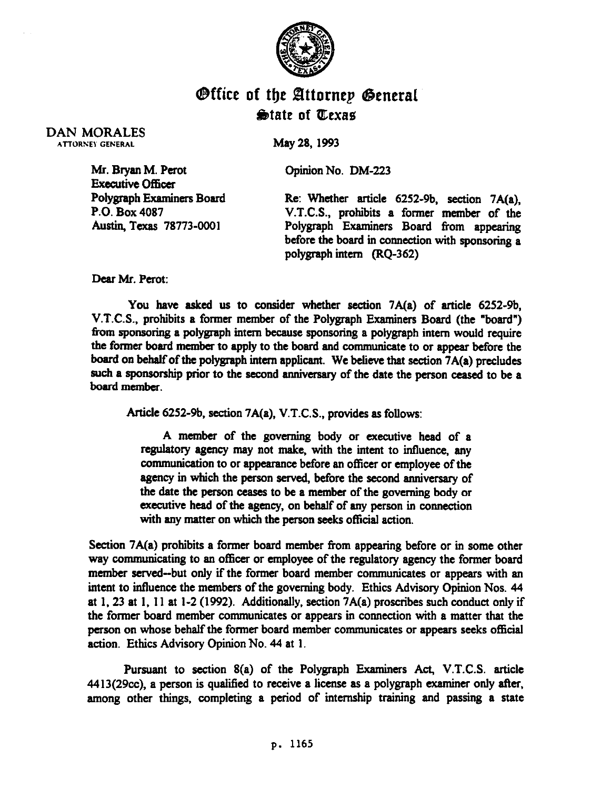

## *<u>Office</u>* of the Attornep General  $\bigcirc$  tate of *Ulexas*

DAN MORALES ATTORNEY GENERAL MAY 28, 1993

Mr. Bryan M. Perot Coinion No. DM-223

Executive Officer<br>Polygraph Examiners Board

Polygraph Examiners Board Re: Whether article 6252-9b, section 7A(a),<br>P.O. Box 4087 V.T.C.S., prohibits a former member of the P.O. Box 4087 V.T.C.S.. prohibits a former member of the Polygraph Examiners Board from appearing before the board in connection with sponsoring a polygraph intern  $(RQ-362)$ 

Dear Mr. Perot:

You have asked us to consider whether section 7A(a) of article 6252-9b, V.T.C.S., prohibits a former member of the Polygraph Examiners Board (the "board") from sponsoring a polygraph intern because sponsoring a polygraph intern would require the former board member to apply to the board and communicate to or appear before the board on behalf of the polygraph intern applicant. We believe that section 7A(a) precludes such a sponsorship prior to the second anniversary of the date the person ceased to be a board member.

Article 6252-9b. section 7A(a), V.T.C.S., provides as follows:

A member of the governing body or executive head of a regulatory agency may not make, with the intent to intluence, any communication to or appearance before an officer or employee of the agency in which the person served, before the second anniversary of the date the person ceases to be. a member of the governing body or executive head of the agency, on behalf of any person in connection with any matter on which the person seeks official action.

Section 7A(a) prohibits a former board member from appearing before or in some other way communicating to an officer or employee of the regulatory agency the former board member served-but only if the former board member communicates or appears with an intent to influence the members of the governing body. Ethics Advisory Opinion Nos. 44 at 1,23 at 1, 11 at l-2 (1992). Additionally, section 7A(a) proscribes such conduct only if the former board member communicates or appears in connection with a matter that the person on whose behalf the former board member communicates or appears seeks official action. Ethics Advisory Opinion No. 44 at 1.

Pursuant to section 8(a) of the Polygraph Examiners Act, V.T.C.S. article  $4413(29cc)$ , a person is qualified to receive a license as a polygraph examiner only after, among other things, completing a period of internship training and passing a state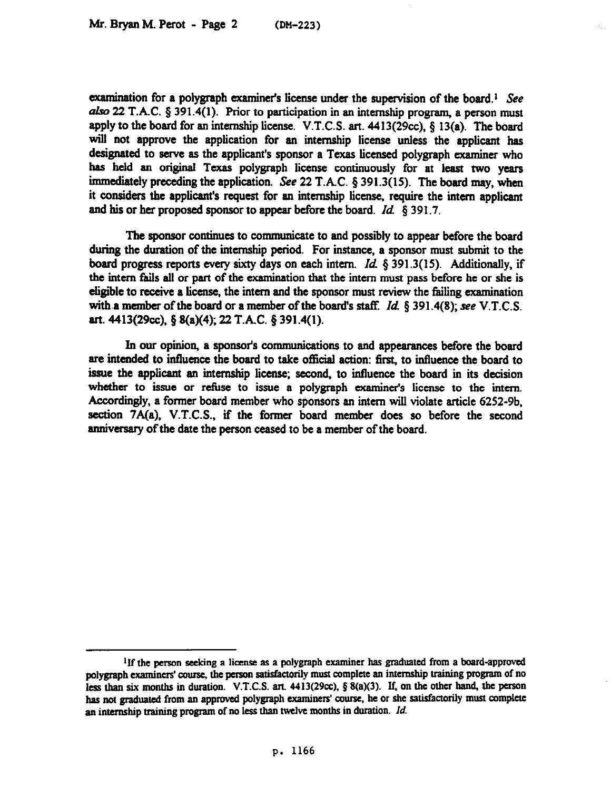examination for a polygraph examiner's license under the supervision of the board.<sup>1</sup> See also 22 T.A.C. § 391.4(1). Prior to participation in an internship program, a person must apply to the board for an internship license. V.T.C.S. art.  $4413(29cc)$ , § 13(a). The board will not approve the application for an internship license unless the applicant has designated to serve as the applicant's sponsor a Texas licensed polygraph examiner who has held an original Texas polygraph license continuously for at least two years immediately preceding the application. See 22 T.A.C. § 391.3(15). The board may, when it considers the applicant's request for an internship license, require the intern applicant and his or her proposed sponsor to appear before the board.  $Id.$  6 391.7.

The sponsor continues to communicate to and possibly to appear before the board during the duration of the internship period. For instance, a sponsor must submit to the board progress reports every sixty days on each intern. *Id.*  $\S 391.3(15)$ . Additionally, if the intern fails all or part of the examination that the intern must pass before he or she is eligible to receive a license, the intern and the sponsor must review the failing examination with a member of the board or a member of the board's staff. *Id.*  $\&$  391.4(8); see V.T.C.S. art. 4413(29cc), § 8(a)(4); 22 T.A.C. § 391.4(1).

In our opinion, a sponsor's communications to and appearances before the board are intended to influence the board to take official action: first, to influence the board to issue the applicant an internship license; second, to influence the board in its decision whether to issue or refuse to issue a polygraph examiner's license to the intern. Accordingly, a former board member who sponsors an intern will violate article 6252-9b, section 7A(a). V.T.C.S.. if the former board member does so before the second anniversary of the date the person ceased to be a member of the board.

**<sup>&#</sup>x27;If the person seeking a license as a polygraph examiner has graduated from a board-approved polygraph examiners' coumc, the person satisfactorily must complete an internship training program of no**  less than six months in duration. V.T.C.S. art. 4413(29cc), § 8(a)(3). If, on the other hand, the person has not graduated from an approved polygraph examiners' course, he or she satisfactorily must complete an internship training program of no less than twelve months in duration. *Id.*